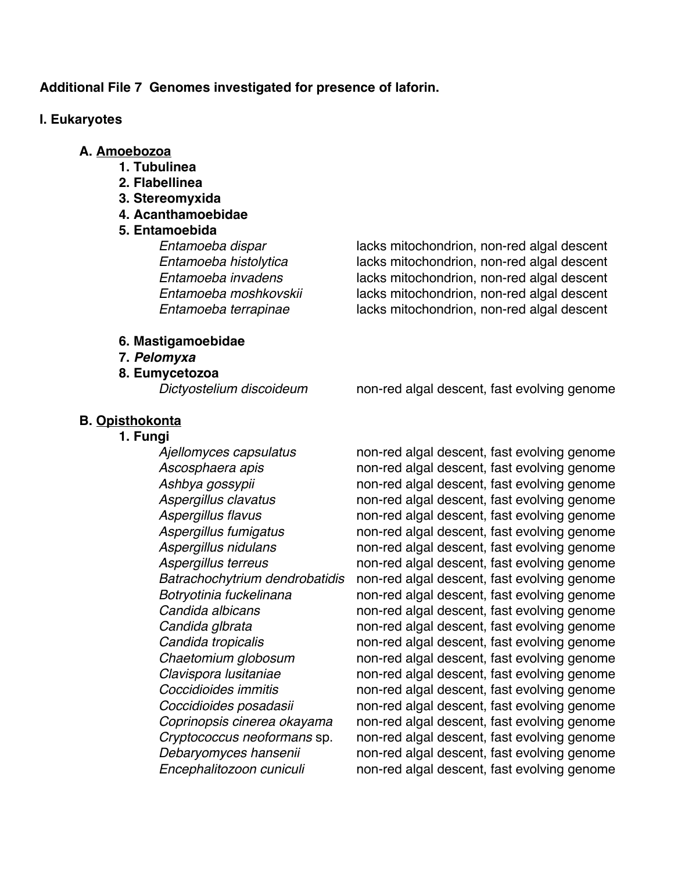**Additional File 7 Genomes investigated for presence of laforin.**

#### **I. Eukaryotes**

#### **A. Amoebozoa**

- **1. Tubulinea**
- **2. Flabellinea**
- **3. Stereomyxida**
- **4. Acanthamoebidae**

### **5. Entamoebida**

#### **6. Mastigamoebidae**

**7.** *Pelomyxa*

#### **8. Eumycetozoa**

*Entamoeba dispar* lacks mitochondrion, non-red algal descent *Entamoeba histolytica* lacks mitochondrion, non-red algal descent *Entamoeba invadens* lacks mitochondrion, non-red algal descent *Entamoeba moshkovskii* lacks mitochondrion, non-red algal descent *Entamoeba terrapinae* lacks mitochondrion, non-red algal descent

*Dictyostelium discoideum* non-red algal descent, fast evolving genome

### **B. Opisthokonta**

**1. Fungi**

*Ajellomyces capsulatus* non-red algal descent, fast evolving genome *Ascosphaera apis* non-red algal descent, fast evolving genome *Ashbya gossypii* non-red algal descent, fast evolving genome *Aspergillus clavatus* non-red algal descent, fast evolving genome *Aspergillus flavus* non-red algal descent, fast evolving genome *Aspergillus fumigatus* non-red algal descent, fast evolving genome *Aspergillus nidulans* non-red algal descent, fast evolving genome *Aspergillus terreus* non-red algal descent, fast evolving genome *Batrachochytrium dendrobatidis* non-red algal descent, fast evolving genome *Botryotinia fuckelinana* non-red algal descent, fast evolving genome *Candida albicans* non-red algal descent, fast evolving genome *Candida glbrata* non-red algal descent, fast evolving genome *Candida tropicalis* non-red algal descent, fast evolving genome *Chaetomium globosum* non-red algal descent, fast evolving genome *Clavispora lusitaniae* non-red algal descent, fast evolving genome *Coccidioides immitis* non-red algal descent, fast evolving genome *Coccidioides posadasii* non-red algal descent, fast evolving genome *Coprinopsis cinerea okayama* non-red algal descent, fast evolving genome *Cryptococcus neoformans* sp. non-red algal descent, fast evolving genome *Debaryomyces hansenii* non-red algal descent, fast evolving genome *Encephalitozoon cuniculi* non-red algal descent, fast evolving genome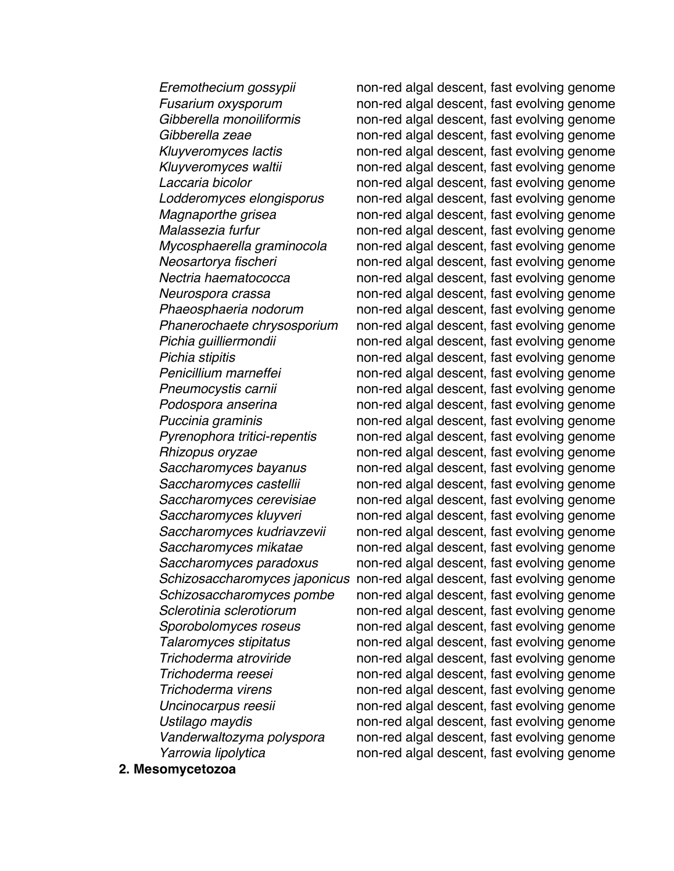*Eremothecium gossypii* non-red algal descent, fast evolving genome *Fusarium oxysporum* non-red algal descent, fast evolving genome *Gibberella monoiliformis* non-red algal descent, fast evolving genome *Gibberella zeae* non-red algal descent, fast evolving genome *Kluyveromyces lactis* non-red algal descent, fast evolving genome *Kluyveromyces waltii* non-red algal descent, fast evolving genome *Laccaria bicolor* non-red algal descent, fast evolving genome *Lodderomyces elongisporus* non-red algal descent, fast evolving genome *Magnaporthe grisea* non-red algal descent, fast evolving genome *Malassezia furfur* non-red algal descent, fast evolving genome *Mycosphaerella graminocola* non-red algal descent, fast evolving genome *Neosartorya fischeri* non-red algal descent, fast evolving genome *Nectria haematococca* non-red algal descent, fast evolving genome *Neurospora crassa* non-red algal descent, fast evolving genome *Phaeosphaeria nodorum* non-red algal descent, fast evolving genome *Phanerochaete chrysosporium* non-red algal descent, fast evolving genome *Pichia guilliermondii* non-red algal descent, fast evolving genome *Pichia stipitis* non-red algal descent, fast evolving genome *Penicillium marneffei* non-red algal descent, fast evolving genome *Pneumocystis carnii* non-red algal descent, fast evolving genome *Podospora anserina* non-red algal descent, fast evolving genome *Puccinia graminis* non-red algal descent, fast evolving genome *Pyrenophora tritici-repentis* non-red algal descent, fast evolving genome *Rhizopus oryzae* non-red algal descent, fast evolving genome *Saccharomyces bayanus* non-red algal descent, fast evolving genome *Saccharomyces castellii* non-red algal descent, fast evolving genome *Saccharomyces cerevisiae* non-red algal descent, fast evolving genome *Saccharomyces kluyveri* non-red algal descent, fast evolving genome *Saccharomyces kudriavzevii* non-red algal descent, fast evolving genome *Saccharomyces mikatae* non-red algal descent, fast evolving genome *Saccharomyces paradoxus* non-red algal descent, fast evolving genome *Schizosaccharomyces japonicus* non-red algal descent, fast evolving genome *Schizosaccharomyces pombe* non-red algal descent, fast evolving genome *Sclerotinia sclerotiorum* non-red algal descent, fast evolving genome *Sporobolomyces roseus* non-red algal descent, fast evolving genome *Talaromyces stipitatus* non-red algal descent, fast evolving genome *Trichoderma atroviride* non-red algal descent, fast evolving genome *Trichoderma reesei* non-red algal descent, fast evolving genome *Trichoderma virens* non-red algal descent, fast evolving genome *Uncinocarpus reesii* non-red algal descent, fast evolving genome *Ustilago maydis* non-red algal descent, fast evolving genome *Vanderwaltozyma polyspora* non-red algal descent, fast evolving genome *Yarrowia lipolytica* non-red algal descent, fast evolving genome

**2. Mesomycetozoa**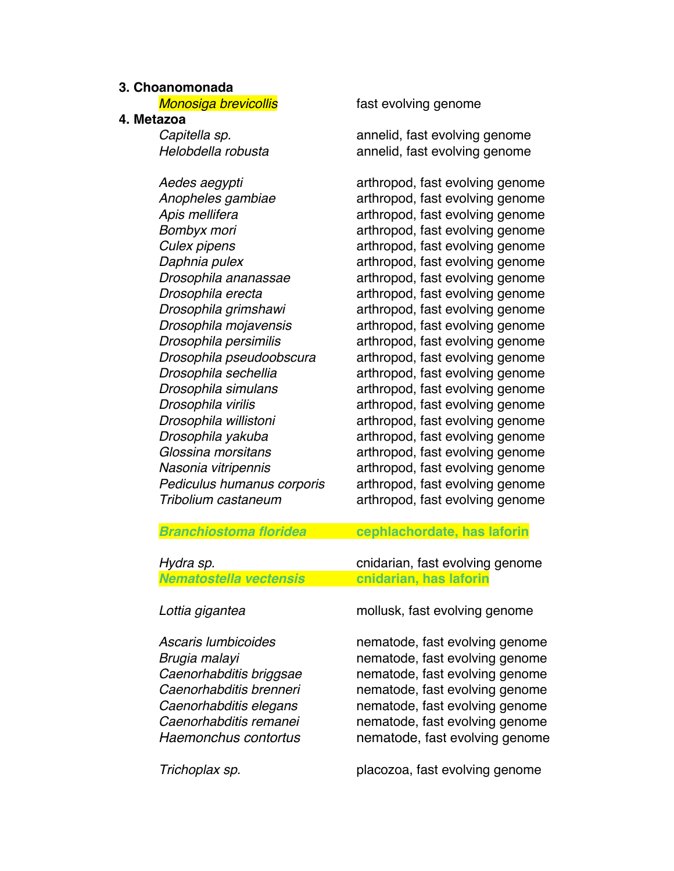#### **3. Choanomonada**

#### **4. Metazoa**

*Monosiga brevicollis* fast evolving genome

*Capitella sp.* **annelid, fast evolving genome** *Helobdella robusta* annelid, fast evolving genome

*Aedes aegypti* arthropod, fast evolving genome *Anopheles gambiae* arthropod, fast evolving genome Apis mellifera **arthropod**, fast evolving genome *Bombyx mori* arthropod, fast evolving genome *Culex pipens* arthropod, fast evolving genome *Daphnia pulex* arthropod, fast evolving genome *Drosophila ananassae* arthropod, fast evolving genome *Drosophila erecta* arthropod, fast evolving genome *Drosophila grimshawi* arthropod, fast evolving genome *Drosophila mojavensis* arthropod, fast evolving genome *Drosophila persimilis* arthropod, fast evolving genome *Drosophila pseudoobscura* arthropod, fast evolving genome *Drosophila sechellia* arthropod, fast evolving genome *Drosophila simulans* arthropod, fast evolving genome *Drosophila virilis* arthropod, fast evolving genome *Drosophila willistoni* arthropod, fast evolving genome *Drosophila yakuba* arthropod, fast evolving genome *Glossina morsitans* arthropod, fast evolving genome *Nasonia vitripennis* arthropod, fast evolving genome *Pediculus humanus corporis* arthropod, fast evolving genome *Tribolium castaneum* arthropod, fast evolving genome

| <b>Branchiostoma floridea</b> | cephlachordate, has laforin |  |
|-------------------------------|-----------------------------|--|
|                               |                             |  |

*Hydra sp.* cnidarian, fast evolving genome *Nematostella vectensis* **cnidarian, has laforin**

*Lottia gigantea* mollusk, fast evolving genome

*Ascaris lumbicoides* nematode, fast evolving genome *Brugia malayi* nematode, fast evolving genome *Caenorhabditis briggsae* nematode, fast evolving genome *Caenorhabditis brenneri* nematode, fast evolving genome *Caenorhabditis elegans* nematode, fast evolving genome *Caenorhabditis remanei* nematode, fast evolving genome *Haemonchus contortus* nematode, fast evolving genome

*Trichoplax sp.* placozoa, fast evolving genome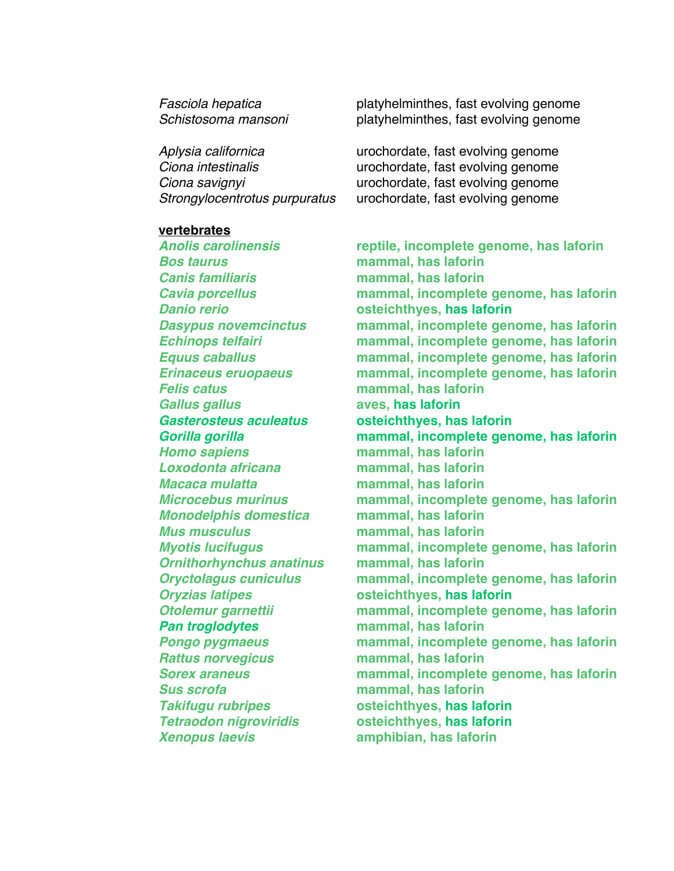#### **vertebrates**

*Bos taurus* **mammal, has laforin** *Canis familiaris* **mammal, has laforin** *Danio rerio* **osteichthyes, has laforin** *Felis catus* **mammal, has laforin** *Gallus gallus* **aves, has laforin** *Gasterosteus aculeatus* **osteichthyes, has laforin** *Homo sapiens* **mammal, has laforin** *Loxodonta africana* **mammal, has laforin** *Macaca mulatta* **mammal, has laforin** *Monodelphis domestica* **mammal, has laforin** *Mus musculus* **mammal, has laforin** *Ornithorhynchus anatinus* **mammal, has laforin** *Oryzias latipes* **osteichthyes, has laforin** *Pan troglodytes* **mammal, has laforin** *Rattus norvegicus* **mammal, has laforin** *Sus scrofa* **mammal, has laforin** *Takifugu rubripes* **osteichthyes, has laforin** *Tetraodon nigroviridis* **osteichthyes, has laforin**

*Fasciola hepatica* platyhelminthes, fast evolving genome *Schistosoma mansoni* platyhelminthes, fast evolving genome

*Aplysia californica* urochordate, fast evolving genome *Ciona intestinalis* urochordate, fast evolving genome *Ciona savignyi* urochordate, fast evolving genome *Strongylocentrotus purpuratus* urochordate, fast evolving genome

*Anolis carolinensis* **reptile, incomplete genome, has laforin** *Cavia porcellus* **mammal, incomplete genome, has laforin** *Dasypus novemcinctus* **mammal, incomplete genome, has laforin** *Echinops telfairi* **mammal, incomplete genome, has laforin** *Equus caballus* **mammal, incomplete genome, has laforin** *Erinaceus eruopaeus* **mammal, incomplete genome, has laforin** *Gorilla gorilla* **mammal, incomplete genome, has laforin** *Microcebus murinus* **mammal, incomplete genome, has laforin** *Myotis lucifugus* **mammal, incomplete genome, has laforin** *Oryctolagus cuniculus* **mammal, incomplete genome, has laforin** *Otolemur garnettii* **mammal, incomplete genome, has laforin** *Pongo pygmaeus* **mammal, incomplete genome, has laforin** *Sorex araneus* **mammal, incomplete genome, has laforin** *Xenopus laevis* **amphibian, has laforin**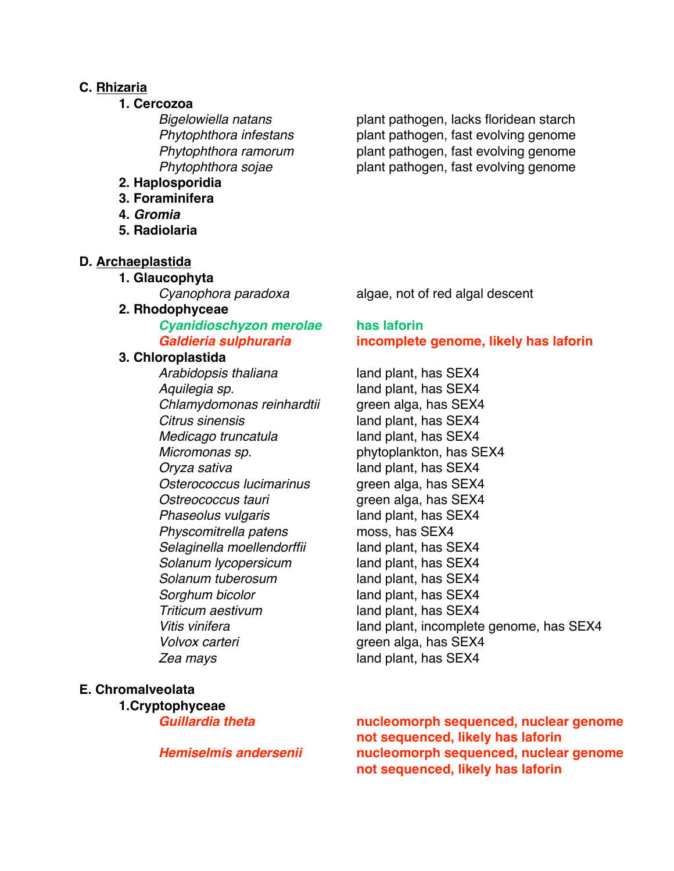#### **C. Rhizaria**

**1. Cercozoa**

- **2. Haplosporidia**
- **3. Foraminifera**
- **4.** *Gromia*
- **5. Radiolaria**

#### **D. Archaeplastida**

- **1. Glaucophyta**
- **2. Rhodophyceae**

# *Cyanidioschyzon merolae* **has laforin**

#### **3. Chloroplastida**

*Arabidopsis thaliana* land plant, has SEX4 *Aquilegia sp.* land plant, has SEX4 *Chlamydomonas reinhardtii* green alga, has SEX4 *Citrus sinensis* land plant, has SEX4 *Medicago truncatula* land plant, has SEX4 *Oryza sativa* land plant, has SEX4 *Osterococcus lucimarinus* green alga, has SEX4 *Ostreococcus tauri* green alga, has SEX4 *Phaseolus vulgaris* land plant, has SEX4 *Physcomitrella patens* moss, has SEX4 **Selaginella moellendorffii** land plant, has SEX4 *Solanum lycopersicum* land plant, has SEX4 *Solanum tuberosum* land plant, has SEX4 *Sorghum bicolor* land plant, has SEX4 *Triticum aestivum* land plant, has SEX4 *Volvox carteri* green alga, has SEX4 *Zea mays* land plant, has SEX4

## **E. Chromalveolata**

**1.Cryptophyceae**

*Bigelowiella natans* plant pathogen, lacks floridean starch *Phytophthora infestans* plant pathogen, fast evolving genome *Phytophthora ramorum* plant pathogen, fast evolving genome *Phytophthora sojae* plant pathogen, fast evolving genome

*Cyanophora paradoxa* algae, not of red algal descent

# *Galdieria sulphuraria* **incomplete genome, likely has laforin**

*Micromonas sp.* phytoplankton, has SEX4 *Vitis vinifera* land plant, incomplete genome, has SEX4

*Guillardia theta* **nucleomorph sequenced, nuclear genome not sequenced, likely has laforin** *Hemiselmis andersenii* **nucleomorph sequenced, nuclear genome not sequenced, likely has laforin**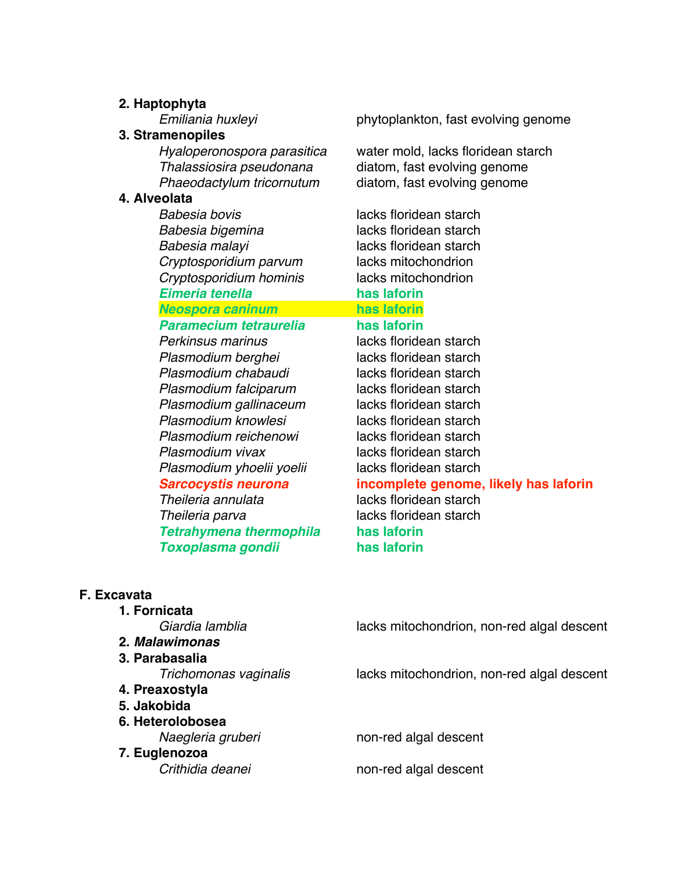#### **2. Haptophyta**

#### **3. Stramenopiles**

#### **4. Alveolata**

*Babesia bovis* lacks floridean starch *Babesia bigemina* lacks floridean starch *Babesia malayi* lacks floridean starch *Cryptosporidium parvum* lacks mitochondrion *Cryptosporidium hominis* lacks mitochondrion *Eimeria tenella* **has laforin**

## *Neospora caninum* **has laforin**

*Paramecium tetraurelia* **has laforin** *Perkinsus marinus* lacks floridean starch *Plasmodium berghei* lacks floridean starch *Plasmodium chabaudi* lacks floridean starch *Plasmodium falciparum* lacks floridean starch *Plasmodium gallinaceum* lacks floridean starch *Plasmodium knowlesi* lacks floridean starch *Plasmodium reichenowi* lacks floridean starch *Plasmodium vivax* lacks floridean starch *Plasmodium yhoelii yoelii* lacks floridean starch

*Theileria annulata* lacks floridean starch *Theileria parva* lacks floridean starch *Tetrahymena thermophila* **has laforin** *Toxoplasma gondii* **has laforin**

*Emiliania huxleyi* phytoplankton, fast evolving genome

*Hyaloperonospora parasitica* water mold, lacks floridean starch *Thalassiosira pseudonana* diatom, fast evolving genome *Phaeodactylum tricornutum* diatom, fast evolving genome

*Sarcocystis neurona* **incomplete genome, likely has laforin**

# **F. Excavata**

**1. Fornicata**

#### **2.** *Malawimonas*

- **3. Parabasalia 4. Preaxostyla 5. Jakobida**
- **6. Heterolobosea**
- **7. Euglenozoa**

Giardia lamblia **lacks** mitochondrion, non-red algal descent

*Trichomonas vaginalis* lacks mitochondrion, non-red algal descent

*Naegleria gruberi* non-red algal descent

*Crithidia deanei* non-red algal descent